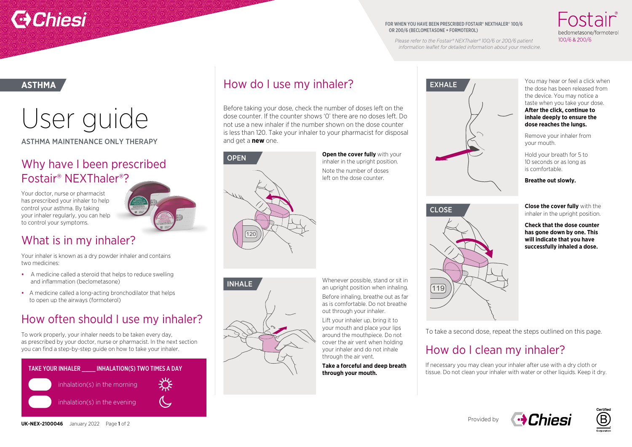# **Chiesi**

#### FOR WHEN YOU HAVE BEEN PRESCRIBED FOSTAIR® NEXTHALER® 100/6 OR 200/6 (BECLOMETASONE + FORMOTEROL)

**EXHALE** 

100/6 & 200/6

*Please refer to the Fostair® NEXThaler® 100/6 or 200/6 patient information leaflet for detailed information about your medicine.* 

> You may hear or feel a click when the dose has been released from the device. You may notice a taste when you take your dose. **After the click, continue to inhale deeply to ensure the dose reaches the lungs.**

Remove your inhaler from your mouth.

Hold your breath for 5 to 10 seconds or as long as is comfortable.

**Breathe out slowly.** 

**Close the cover fully** with the inhaler in the upright position.

**Check that the dose counter has gone down by one. This will indicate that you have successfully inhaled a dose.** 

CLOSE

# **ASTHMA**

User guide

ASTHMA MAINTENANCE ONLY THERAPY

## Why have I been prescribed Fostair® NEXThaler®?

Your doctor, nurse or pharmacist has prescribed your inhaler to help control your asthma. By taking your inhaler regularly, you can help to control your symptoms.



## What is in my inhaler?

Your inhaler is known as a dry powder inhaler and contains two medicines:

- A medicine called a steroid that helps to reduce swelling and inflammation (beclometasone)
- A medicine called a long-acting bronchodilator that helps to open up the airways (formoterol)

# How often should I use my inhaler?

To work properly, your inhaler needs to be taken every day, as prescribed by your doctor, nurse or pharmacist. In the next section you can find a step-by-step guide on how to take your inhaler.







120

and get a **new** one.

**OPEN** 

How do I use my inhaler?

Before taking your dose, check the number of doses left on the dose counter. If the counter shows '0' there are no doses left. Do not use a new inhaler if the number shown on the dose counter is less than 120. Take your inhaler to your pharmacist for disposal

Whenever possible, stand or sit in **INHALE** an upright position when inhaling. Before inhaling, breathe out as far as is comfortable. Do not breathe out through your inhaler.

**Open the cover fully** with your inhaler in the upright position. Note the number of doses left on the dose counter.

Lift your inhaler up, bring it to your mouth and place your lips around the mouthpiece. Do not cover the air vent when holding your inhaler and do not inhale through the air vent.

**Take a forceful and deep breath through your mouth.** 



To take a second dose, repeat the steps outlined on this page.

## How do I clean my inhaler?

If necessary you may clean your inhaler after use with a dry cloth or tissue. Do not clean your inhaler with water or other liquids. Keep it dry.